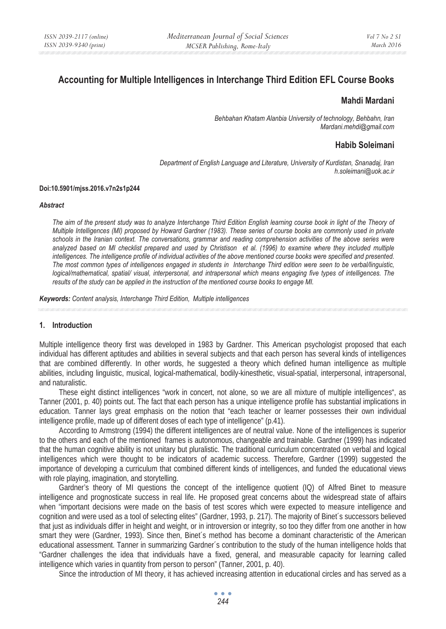# **Accounting for Multiple Intelligences in Interchange Third Edition EFL Course Books**

# **Mahdi Mardani**

*Behbahan Khatam Alanbia University of technology, Behbahn, Iran Mardani.mehdi@gmail.com* 

# **Habib Soleimani**

*Department of English Language and Literature, University of Kurdistan, Snanadaj, Iran h.soleimani@uok.ac.ir* 

#### **Doi:10.5901/mjss.2016.v7n2s1p244**

#### *Abstract*

*The aim of the present study was to analyze Interchange Third Edition English learning course book in light of the Theory of Multiple Intelligences (MI) proposed by Howard Gardner (1983). These series of course books are commonly used in private schools in the Iranian context. The conversations, grammar and reading comprehension activities of the above series were analyzed based on MI checklist prepared and used by Christison et al. (1996) to examine where they included multiple intelligences. The intelligence profile of individual activities of the above mentioned course books were specified and presented. The most common types of intelligences engaged in students in Interchange Third edition were seen to be verbal/linguistic, logical/mathematical, spatial/ visual, interpersonal, and intrapersonal which means engaging five types of intelligences. The results of the study can be applied in the instruction of the mentioned course books to engage MI.* 

*Keywords: Content analysis, Interchange Third Edition, Multiple intelligences*

# **1. Introduction**

Multiple intelligence theory first was developed in 1983 by Gardner. This American psychologist proposed that each individual has different aptitudes and abilities in several subjects and that each person has several kinds of intelligences that are combined differently. In other words, he suggested a theory which defined human intelligence as multiple abilities, including linguistic, musical, logical-mathematical, bodily-kinesthetic, visual-spatial, interpersonal, intrapersonal, and naturalistic.

These eight distinct intelligences "work in concert, not alone, so we are all mixture of multiple intelligences", as Tanner (2001, p. 40) points out. The fact that each person has a unique intelligence profile has substantial implications in education. Tanner lays great emphasis on the notion that "each teacher or learner possesses their own individual intelligence profile, made up of different doses of each type of intelligence" (p.41).

According to Armstrong (1994) the different intelligences are of neutral value. None of the intelligences is superior to the others and each of the mentioned frames is autonomous, changeable and trainable. Gardner (1999) has indicated that the human cognitive ability is not unitary but pluralistic. The traditional curriculum concentrated on verbal and logical intelligences which were thought to be indicators of academic success. Therefore, Gardner (1999) suggested the importance of developing a curriculum that combined different kinds of intelligences, and funded the educational views with role playing, imagination, and storytelling.

Gardner's theory of MI questions the concept of the intelligence quotient (IQ) of Alfred Binet to measure intelligence and prognosticate success in real life. He proposed great concerns about the widespread state of affairs when "important decisions were made on the basis of test scores which were expected to measure intelligence and cognition and were used as a tool of selecting elites" (Gardner, 1993, p. 217). The majority of Binet´s successors believed that just as individuals differ in height and weight, or in introversion or integrity, so too they differ from one another in how smart they were (Gardner, 1993). Since then, Binet´s method has become a dominant characteristic of the American educational assessment. Tanner in summarizing Gardner´s contribution to the study of the human intelligence holds that "Gardner challenges the idea that individuals have a fixed, general, and measurable capacity for learning called intelligence which varies in quantity from person to person" (Tanner, 2001, p. 40).

Since the introduction of MI theory, it has achieved increasing attention in educational circles and has served as a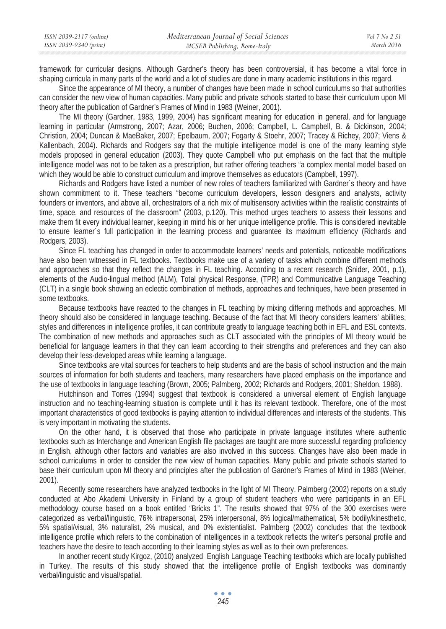| ISSN 2039-2117 (online) | Mediterranean Journal of Social Sciences | Vol 7 No 2 S1 |
|-------------------------|------------------------------------------|---------------|
| ISSN 2039-9340 (print)  | MCSER Publishing, Rome-Italy             | March 2016    |

framework for curricular designs. Although Gardner's theory has been controversial, it has become a vital force in shaping curricula in many parts of the world and a lot of studies are done in many academic institutions in this regard.

Since the appearance of MI theory, a number of changes have been made in school curriculums so that authorities can consider the new view of human capacities. Many public and private schools started to base their curriculum upon MI theory after the publication of Gardner's Frames of Mind in 1983 (Weiner, 2001).

The MI theory (Gardner, 1983, 1999, 2004) has significant meaning for education in general, and for language learning in particular (Armstrong, 2007; Azar, 2006; Buchen, 2006; Campbell, L. Campbell, B. & Dickinson, 2004; Christion, 2004; Duncan & MaeBaker, 2007; Epelbaum, 2007; Fogarty & Stoehr, 2007; Tracey & Richey, 2007; Viens & Kallenbach, 2004). Richards and Rodgers say that the multiple intelligence model is one of the many learning style models proposed in general education (2003). They quote Campbell who put emphasis on the fact that the multiple intelligence model was not to be taken as a prescription, but rather offering teachers "a complex mental model based on which they would be able to construct curriculum and improve themselves as educators (Campbell, 1997).

Richards and Rodgers have listed a number of new roles of teachers familiarized with Gardner´s theory and have shown commitment to it. These teachers "become curriculum developers, lesson designers and analysts, activity founders or inventors, and above all, orchestrators of a rich mix of multisensory activities within the realistic constraints of time, space, and resources of the classroom" (2003, p.120). This method urges teachers to assess their lessons and make them fit every individual learner, keeping in mind his or her unique intelligence profile. This is considered inevitable to ensure learner´s full participation in the learning process and guarantee its maximum efficiency (Richards and Rodgers, 2003).

Since FL teaching has changed in order to accommodate learners' needs and potentials, noticeable modifications have also been witnessed in FL textbooks. Textbooks make use of a variety of tasks which combine different methods and approaches so that they reflect the changes in FL teaching. According to a recent research (Snider, 2001, p.1), elements of the Audio-lingual method (ALM), Total physical Response, (TPR) and Communicative Language Teaching (CLT) in a single book showing an eclectic combination of methods, approaches and techniques, have been presented in some textbooks.

Because textbooks have reacted to the changes in FL teaching by mixing differing methods and approaches, MI theory should also be considered in language teaching. Because of the fact that MI theory considers learners' abilities, styles and differences in intelligence profiles, it can contribute greatly to language teaching both in EFL and ESL contexts. The combination of new methods and approaches such as CLT associated with the principles of MI theory would be beneficial for language learners in that they can learn according to their strengths and preferences and they can also develop their less-developed areas while learning a language.

Since textbooks are vital sources for teachers to help students and are the basis of school instruction and the main sources of information for both students and teachers, many researchers have placed emphasis on the importance and the use of textbooks in language teaching (Brown, 2005; Palmberg, 2002; Richards and Rodgers, 2001; Sheldon, 1988).

Hutchinson and Torres (1994) suggest that textbook is considered a universal element of English language instruction and no teaching-learning situation is complete until it has its relevant textbook. Therefore, one of the most important characteristics of good textbooks is paying attention to individual differences and interests of the students. This is very important in motivating the students.

On the other hand, it is observed that those who participate in private language institutes where authentic textbooks such as Interchange and American English file packages are taught are more successful regarding proficiency in English, although other factors and variables are also involved in this success. Changes have also been made in school curriculums in order to consider the new view of human capacities. Many public and private schools started to base their curriculum upon MI theory and principles after the publication of Gardner's Frames of Mind in 1983 (Weiner, 2001).

Recently some researchers have analyzed textbooks in the light of MI Theory. Palmberg (2002) reports on a study conducted at Abo Akademi University in Finland by a group of student teachers who were participants in an EFL methodology course based on a book entitled "Bricks 1". The results showed that 97% of the 300 exercises were categorized as verbal/linguistic, 76% intrapersonal, 25% interpersonal, 8% logical/mathematical, 5% bodily/kinesthetic, 5% spatial/visual, 3% naturalist, 2% musical, and 0% existentialist. Palmberg (2002) concludes that the textbook intelligence profile which refers to the combination of intelligences in a textbook reflects the writer's personal profile and teachers have the desire to teach according to their learning styles as well as to their own preferences.

In another recent study Kirgoz, (2010) analyzed English Language Teaching textbooks which are locally published in Turkey. The results of this study showed that the intelligence profile of English textbooks was dominantly verbal/linguistic and visual/spatial.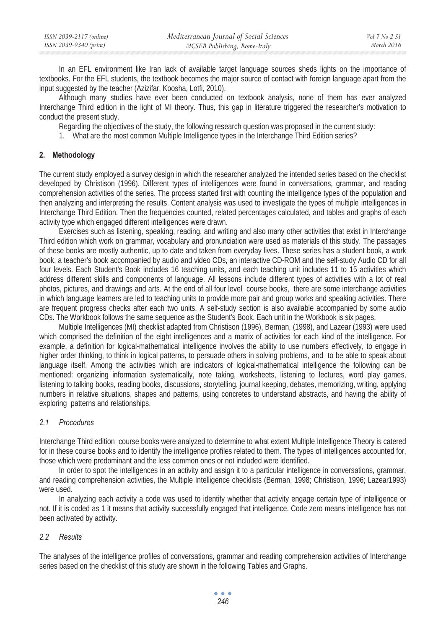In an EFL environment like Iran lack of available target language sources sheds lights on the importance of textbooks. For the EFL students, the textbook becomes the major source of contact with foreign language apart from the input suggested by the teacher (Azizifar, Koosha, Lotfi, 2010).

Although many studies have ever been conducted on textbook analysis, none of them has ever analyzed Interchange Third edition in the light of MI theory. Thus, this gap in literature triggered the researcher's motivation to conduct the present study.

Regarding the objectives of the study, the following research question was proposed in the current study:

1. What are the most common Multiple Intelligence types in the Interchange Third Edition series?

# **2. Methodology**

The current study employed a survey design in which the researcher analyzed the intended series based on the checklist developed by Christison (1996). Different types of intelligences were found in conversations, grammar, and reading comprehension activities of the series. The process started first with counting the intelligence types of the population and then analyzing and interpreting the results. Content analysis was used to investigate the types of multiple intelligences in Interchange Third Edition. Then the frequencies counted, related percentages calculated, and tables and graphs of each activity type which engaged different intelligences were drawn.

Exercises such as listening, speaking, reading, and writing and also many other activities that exist in Interchange Third edition which work on grammar, vocabulary and pronunciation were used as materials of this study. The passages of these books are mostly authentic, up to date and taken from everyday lives. These series has a student book, a work book, a teacher's book accompanied by audio and video CDs, an interactive CD-ROM and the self-study Audio CD for all four levels. Each Student's Book includes 16 teaching units, and each teaching unit includes 11 to 15 activities which address different skills and components of language. All lessons include different types of activities with a lot of real photos, pictures, and drawings and arts. At the end of all four level course books, there are some interchange activities in which language learners are led to teaching units to provide more pair and group works and speaking activities. There are frequent progress checks after each two units. A self-study section is also available accompanied by some audio CDs. The Workbook follows the same sequence as the Student's Book. Each unit in the Workbook is six pages.

Multiple Intelligences (MI) checklist adapted from Christison (1996), Berman, (1998), and Lazear (1993) were used which comprised the definition of the eight intelligences and a matrix of activities for each kind of the intelligence. For example, a definition for logical-mathematical intelligence involves the ability to use numbers effectively, to engage in higher order thinking, to think in logical patterns, to persuade others in solving problems, and to be able to speak about language itself. Among the activities which are indicators of logical-mathematical intelligence the following can be mentioned: organizing information systematically, note taking, worksheets, listening to lectures, word play games, listening to talking books, reading books, discussions, storytelling, journal keeping, debates, memorizing, writing, applying numbers in relative situations, shapes and patterns, using concretes to understand abstracts, and having the ability of exploring patterns and relationships.

# *2.1 Procedures*

Interchange Third edition course books were analyzed to determine to what extent Multiple Intelligence Theory is catered for in these course books and to identify the intelligence profiles related to them. The types of intelligences accounted for, those which were predominant and the less common ones or not included were identified.

In order to spot the intelligences in an activity and assign it to a particular intelligence in conversations, grammar, and reading comprehension activities, the Multiple Intelligence checklists (Berman, 1998; Christison, 1996; Lazear1993) were used.

In analyzing each activity a code was used to identify whether that activity engage certain type of intelligence or not. If it is coded as 1 it means that activity successfully engaged that intelligence. Code zero means intelligence has not been activated by activity.

# *2.2 Results*

The analyses of the intelligence profiles of conversations, grammar and reading comprehension activities of Interchange series based on the checklist of this study are shown in the following Tables and Graphs.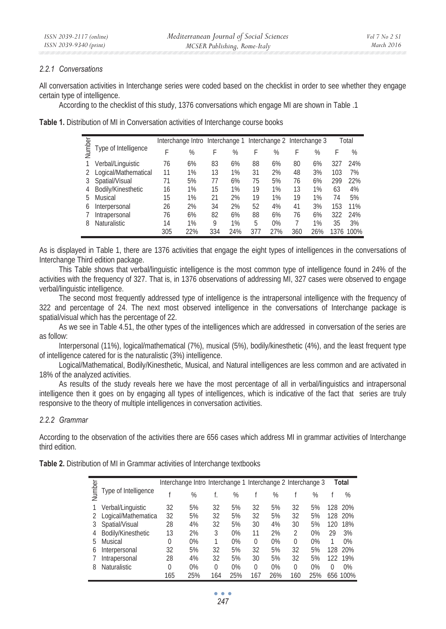# *2.2.1 Conversations*

All conversation activities in Interchange series were coded based on the checklist in order to see whether they engage certain type of intelligence.

According to the checklist of this study, 1376 conversations which engage MI are shown in Table .1

**Table 1.** Distribution of MI in Conversation activities of Interchange course books

|        |                      |     | Interchange Intro Interchange 1 |     |     |     | Interchange 2 Interchange 3 |     |      |      | Total |
|--------|----------------------|-----|---------------------------------|-----|-----|-----|-----------------------------|-----|------|------|-------|
| Number | Type of Intelligence | F   | $\%$                            | F   | %   | F   | $\%$                        | F   | $\%$ | F    | $\%$  |
|        | Verbal/Linguistic    | 76  | 6%                              | 83  | 6%  | 88  | 6%                          | 80  | 6%   | 327  | 24%   |
|        | Logical/Mathematical | 11  | 1%                              | 13  | 1%  | 31  | 2%                          | 48  | 3%   | 103  | 7%    |
|        | Spatial/Visual       | 71  | 5%                              | 77  | 6%  | 75  | 5%                          | 76  | 6%   | 299  | 22%   |
| 4      | Bodily/Kinesthetic   | 16  | 1%                              | 15  | 1%  | 19  | 1%                          | 13  | 1%   | 63   | 4%    |
| 5      | Musical              | 15  | 1%                              | 21  | 2%  | 19  | 1%                          | 19  | 1%   | 74   | 5%    |
| 6      | Interpersonal        | 26  | 2%                              | 34  | 2%  | 52  | 4%                          | 41  | 3%   | 153  | 11%   |
|        | Intrapersonal        | 76  | 6%                              | 82  | 6%  | 88  | 6%                          | 76  | 6%   | 322  | 24%   |
| 8      | <b>Naturalistic</b>  | 14  | 1%                              | 9   | 1%  | 5   | 0%                          |     | 1%   | 35   | 3%    |
|        |                      | 305 | 22%                             | 334 | 24% | 377 | 27%                         | 360 | 26%  | 1376 | 100%  |

As is displayed in Table 1, there are 1376 activities that engage the eight types of intelligences in the conversations of Interchange Third edition package.

This Table shows that verbal/linguistic intelligence is the most common type of intelligence found in 24% of the activities with the frequency of 327. That is, in 1376 observations of addressing MI, 327 cases were observed to engage verbal/linguistic intelligence.

The second most frequently addressed type of intelligence is the intrapersonal intelligence with the frequency of 322 and percentage of 24. The next most observed intelligence in the conversations of Interchange package is spatial/visual which has the percentage of 22.

As we see in Table 4.51, the other types of the intelligences which are addressed in conversation of the series are as follow:

Interpersonal (11%), logical/mathematical (7%), musical (5%), bodily/kinesthetic (4%), and the least frequent type of intelligence catered for is the naturalistic (3%) intelligence.

Logical/Mathematical, Bodily/Kinesthetic, Musical, and Natural intelligences are less common and are activated in 18% of the analyzed activities.

As results of the study reveals here we have the most percentage of all in verbal/linguistics and intrapersonal intelligence then it goes on by engaging all types of intelligences, which is indicative of the fact that series are truly responsive to the theory of multiple intelligences in conversation activities.

# *2.2.2 Grammar*

According to the observation of the activities there are 656 cases which address MI in grammar activities of Interchange third edition.

| Table 2. Distribution of MI in Grammar activities of Interchange textbooks |
|----------------------------------------------------------------------------|
|----------------------------------------------------------------------------|

|        |                      |     | Interchange Intro Interchange 1 Interchange 2 Interchange 3 |     |      |          |     |          |     |     | Total    |
|--------|----------------------|-----|-------------------------------------------------------------|-----|------|----------|-----|----------|-----|-----|----------|
| Number | Type of Intelligence |     | %                                                           |     | $\%$ |          | %   |          | %   |     | %        |
|        | Verbal/Linguistic    | 32  | 5%                                                          | 32  | 5%   | 32       | 5%  | 32       | 5%  |     | 128 20%  |
|        | Logical/Mathematica  | 32  | 5%                                                          | 32  | 5%   | 32       | 5%  | 32       | 5%  |     | 128 20%  |
|        | Spatial/Visual       | 28  | 4%                                                          | 32  | 5%   | 30       | 4%  | 30       | 5%  | 120 | 18%      |
| 4      | Bodily/Kinesthetic   | 13  | 2%                                                          | 3   | 0%   | 11       | 2%  | 2        | 0%  | 29  | 3%       |
| 5.     | Musical              | 0   | 0%                                                          |     | 0%   | $\Omega$ | 0%  | $\Omega$ | 0%  |     | 0%       |
| 6      | Interpersonal        | 32  | 5%                                                          | 32  | 5%   | 32       | 5%  | 32       | 5%  |     | 128 20%  |
|        | Intrapersonal        | 28  | 4%                                                          | 32  | 5%   | 30       | 5%  | 32       | 5%  | 122 | 19%      |
| 8      | <b>Naturalistic</b>  | 0   | 0%                                                          | 0   | 0%   | $\Omega$ | 0%  | $\Omega$ | 0%  | 0   | $0\%$    |
|        |                      | 165 | 25%                                                         | 164 | 25%  | 167      | 26% | 160      | 25% |     | 656 100% |

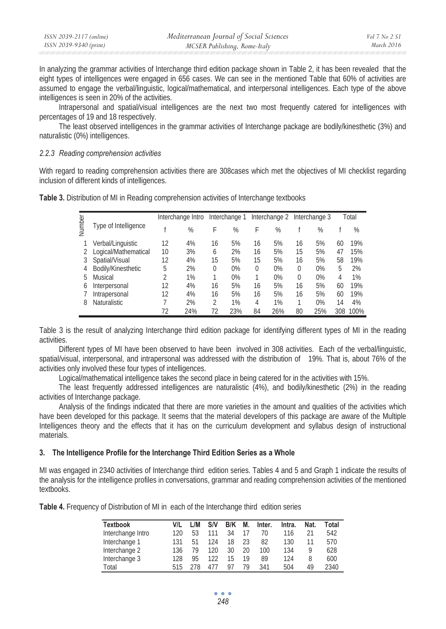| ISSN 2039-2117 (online) | Mediterranean Journal of Social Sciences | Vol 7 No 2 S1 |
|-------------------------|------------------------------------------|---------------|
| ISSN 2039-9340 (print)  | MCSER Publishing, Rome-Italy             | March 2016    |

In analyzing the grammar activities of Interchange third edition package shown in Table 2, it has been revealed that the eight types of intelligences were engaged in 656 cases. We can see in the mentioned Table that 60% of activities are assumed to engage the verbal/linguistic, logical/mathematical, and interpersonal intelligences. Each type of the above intelligences is seen in 20% of the activities.

Intrapersonal and spatial/visual intelligences are the next two most frequently catered for intelligences with percentages of 19 and 18 respectively.

The least observed intelligences in the grammar activities of Interchange package are bodily/kinesthetic (3%) and naturalistic (0%) intelligences.

### *2.2.3 Reading comprehension activities*

With regard to reading comprehension activities there are 308cases which met the objectives of MI checklist regarding inclusion of different kinds of intelligences.

| Table 3. Distribution of MI in Reading comprehension activities of Interchange textbooks |  |
|------------------------------------------------------------------------------------------|--|
|------------------------------------------------------------------------------------------|--|

|        |                      | Interchange Intro |      | Interchange 1 |      | Interchange 2 |     | Interchange 3 |     | Total |      |
|--------|----------------------|-------------------|------|---------------|------|---------------|-----|---------------|-----|-------|------|
| Number | Type of Intelligence |                   | $\%$ | F             | $\%$ | F             | %   |               | %   |       | %    |
|        | Verbal/Linguistic    | 12                | 4%   | 16            | 5%   | 16            | 5%  | 16            | 5%  | 60    | 19%  |
|        | Logical/Mathematical | 10                | 3%   | 6             | 2%   | 16            | 5%  | 15            | 5%  | 47    | 15%  |
|        | Spatial/Visual       | 12                | 4%   | 15            | 5%   | 15            | 5%  | 16            | 5%  | 58    | 19%  |
| 4      | Bodily/Kinesthetic   | 5                 | 2%   | 0             | 0%   | $\theta$      | 0%  | 0             | 0%  | 5     | 2%   |
| 5      | Musical              | າ                 | 1%   |               | 0%   | 1             | 0%  | $\Omega$      | 0%  | 4     | 1%   |
| 6      | Interpersonal        | 12                | 4%   | 16            | 5%   | 16            | 5%  | 16            | 5%  | 60    | 19%  |
|        | Intrapersonal        | 12                | 4%   | 16            | 5%   | 16            | 5%  | 16            | 5%  | 60    | 19%  |
| 8      | <b>Naturalistic</b>  |                   | 2%   | 2             | 1%   | 4             | 1%  |               | 0%  | 14    | 4%   |
|        |                      | 72                | 24%  | 72            | 23%  | 84            | 26% | 80            | 25% | 308   | 100% |

Table 3 is the result of analyzing Interchange third edition package for identifying different types of MI in the reading activities.

Different types of MI have been observed to have been involved in 308 activities. Each of the verbal/linguistic, spatial/visual, interpersonal, and intrapersonal was addressed with the distribution of 19%. That is, about 76% of the activities only involved these four types of intelligences.

Logical/mathematical intelligence takes the second place in being catered for in the activities with 15%.

The least frequently addressed intelligences are naturalistic (4%), and bodily/kinesthetic (2%) in the reading activities of Interchange package.

Analysis of the findings indicated that there are more varieties in the amount and qualities of the activities which have been developed for this package. It seems that the material developers of this package are aware of the Multiple Intelligences theory and the effects that it has on the curriculum development and syllabus design of instructional materials.

#### **3. The Intelligence Profile for the Interchange Third Edition Series as a Whole**

MI was engaged in 2340 activities of Interchange third edition series. Tables 4 and 5 and Graph 1 indicate the results of the analysis for the intelligence profiles in conversations, grammar and reading comprehension activities of the mentioned textbooks.

|  |  | Table 4. Frequency of Distribution of MI in each of the Interchange third edition series |  |
|--|--|------------------------------------------------------------------------------------------|--|
|  |  |                                                                                          |  |

| <b>Textbook</b>   | V/L  | L/M | <b>S/V</b> | B/K | M. | Inter. | Intra. | Nat. | Total |
|-------------------|------|-----|------------|-----|----|--------|--------|------|-------|
| Interchange Intro | 120. | 53  | 111        | 34  |    | 70     | 116    |      | 542   |
| Interchange 1     | 131  | 51  | 124        | 18  | 23 | 82     | 130    |      | 570   |
| Interchange 2     | 136. | 79  | 120        | 30  | 20 | 100    | 134    |      | 628   |
| Interchange 3     | 128  | 95  | 122        | 15  | 19 | 89     | 124    |      | 600   |
| Total             | 515  | 278 |            | 97  | 79 | 341    | 504    | 49   | 2340  |

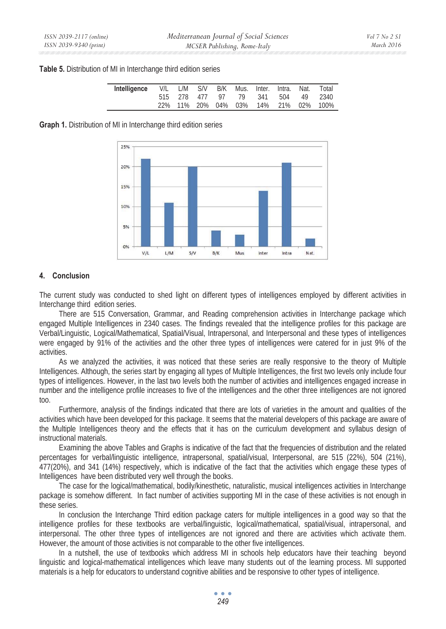### **Table 5.** Distribution of MI in Interchange third edition series

| <b>Intelligence</b> V/L L/M S/V B/K Mus. Inter. Intra. Nat. Total |  |  |                                      |  |  |
|-------------------------------------------------------------------|--|--|--------------------------------------|--|--|
|                                                                   |  |  | 515 278 477 97 79 341 504 49 2340    |  |  |
|                                                                   |  |  | 22% 11% 20% 04% 03% 14% 21% 02% 100% |  |  |

### **Graph 1.** Distribution of MI in Interchange third edition series



# **4. Conclusion**

The current study was conducted to shed light on different types of intelligences employed by different activities in Interchange third edition series.

There are 515 Conversation, Grammar, and Reading comprehension activities in Interchange package which engaged Multiple Intelligences in 2340 cases. The findings revealed that the intelligence profiles for this package are Verbal/Linguistic, Logical/Mathematical, Spatial/Visual, Intrapersonal, and Interpersonal and these types of intelligences were engaged by 91% of the activities and the other three types of intelligences were catered for in just 9% of the activities.

As we analyzed the activities, it was noticed that these series are really responsive to the theory of Multiple Intelligences. Although, the series start by engaging all types of Multiple Intelligences, the first two levels only include four types of intelligences. However, in the last two levels both the number of activities and intelligences engaged increase in number and the intelligence profile increases to five of the intelligences and the other three intelligences are not ignored too.

Furthermore, analysis of the findings indicated that there are lots of varieties in the amount and qualities of the activities which have been developed for this package. It seems that the material developers of this package are aware of the Multiple Intelligences theory and the effects that it has on the curriculum development and syllabus design of instructional materials.

Examining the above Tables and Graphs is indicative of the fact that the frequencies of distribution and the related percentages for verbal/linguistic intelligence, intrapersonal, spatial/visual, Interpersonal, are 515 (22%), 504 (21%), 477(20%), and 341 (14%) respectively, which is indicative of the fact that the activities which engage these types of Intelligences have been distributed very well through the books.

The case for the logical/mathematical, bodily/kinesthetic, naturalistic, musical intelligences activities in Interchange package is somehow different. In fact number of activities supporting MI in the case of these activities is not enough in these series.

In conclusion the Interchange Third edition package caters for multiple intelligences in a good way so that the intelligence profiles for these textbooks are verbal/linguistic, logical/mathematical, spatial/visual, intrapersonal, and interpersonal. The other three types of intelligences are not ignored and there are activities which activate them. However, the amount of those activities is not comparable to the other five intelligences.

In a nutshell, the use of textbooks which address MI in schools help educators have their teaching beyond linguistic and logical-mathematical intelligences which leave many students out of the learning process. MI supported materials is a help for educators to understand cognitive abilities and be responsive to other types of intelligence.